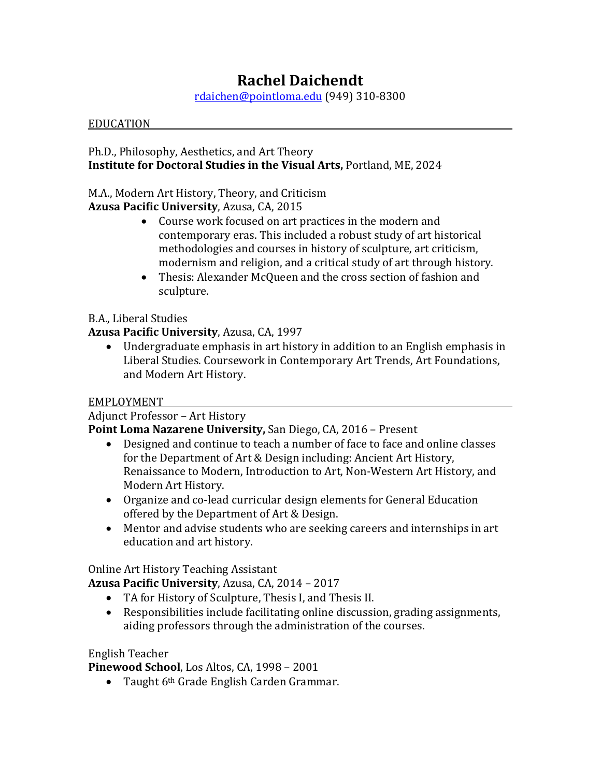# **Rachel Daichendt**

[rdaichen@pointloma.edu](mailto:rdaichen@pointloma.edu) (949) 310-8300

#### EDUCATION

Ph.D., Philosophy, Aesthetics, and Art Theory **Institute for Doctoral Studies in the Visual Arts,** Portland, ME, 2024

## M.A., Modern Art History, Theory, and Criticism

**Azusa Pacific University**, Azusa, CA, 2015

- Course work focused on art practices in the modern and contemporary eras. This included a robust study of art historical methodologies and courses in history of sculpture, art criticism, modernism and religion, and a critical study of art through history.
- Thesis: Alexander McQueen and the cross section of fashion and sculpture.

## B.A., Liberal Studies

## **Azusa Pacific University**, Azusa, CA, 1997

• Undergraduate emphasis in art history in addition to an English emphasis in Liberal Studies. Coursework in Contemporary Art Trends, Art Foundations, and Modern Art History.

## EMPLOYMENT

Adjunct Professor – Art History

**Point Loma Nazarene University,** San Diego, CA, 2016 – Present

- Designed and continue to teach a number of face to face and online classes for the Department of Art & Design including: Ancient Art History, Renaissance to Modern, Introduction to Art, Non-Western Art History, and Modern Art History.
- Organize and co-lead curricular design elements for General Education offered by the Department of Art & Design.
- Mentor and advise students who are seeking careers and internships in art education and art history.

Online Art History Teaching Assistant

**Azusa Pacific University**, Azusa, CA, 2014 – 2017

- TA for History of Sculpture, Thesis I, and Thesis II.
- Responsibilities include facilitating online discussion, grading assignments, aiding professors through the administration of the courses.

## English Teacher

**Pinewood School**, Los Altos, CA, 1998 – 2001

• Taught 6<sup>th</sup> Grade English Carden Grammar.